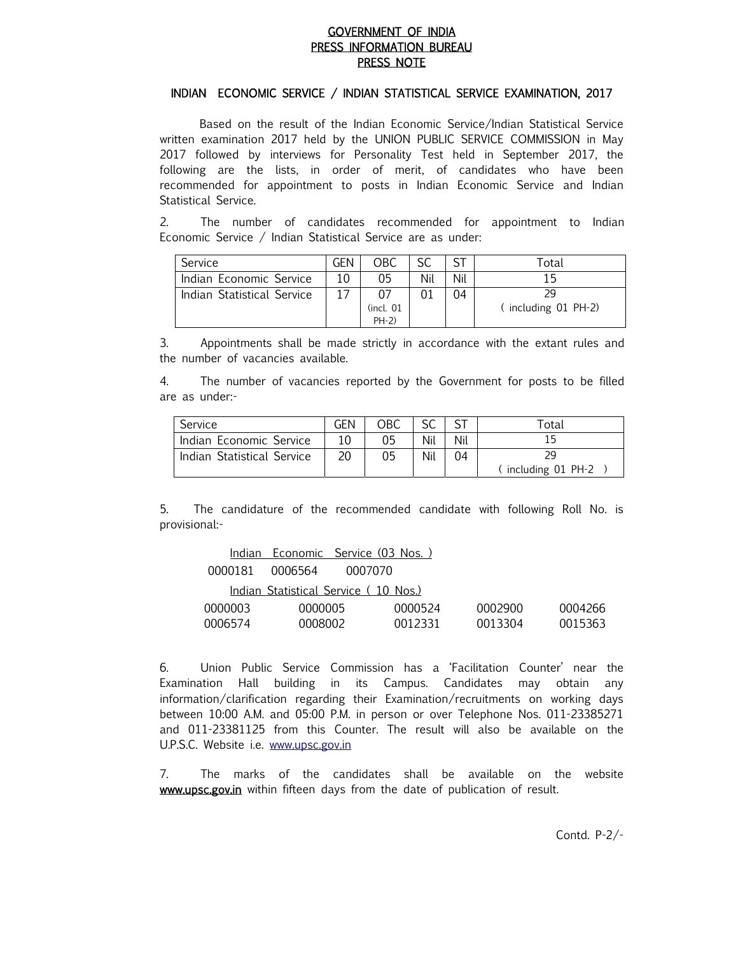### GOVERNMENT OF INDIA PRESS INFORMATION BUREAU PRESS NOTE

#### INDIAN ECONOMIC SERVICE / INDIAN STATISTICAL SERVICE EXAMINATION, 2017

 Based on the result of the Indian Economic Service/Indian Statistical Service written examination 2017 held by the UNION PUBLIC SERVICE COMMISSION in May 2017 followed by interviews for Personality Test held in September 2017, the following are the lists, in order of merit, of candidates who have been recommended for appointment to posts in Indian Economic Service and Indian Statistical Service.

2. The number of candidates recommended for appointment to Indian Economic Service / Indian Statistical Service are as under:

| Service                    | GEN | ОВС            |     |     | $^\mathsf{Total}$  |
|----------------------------|-----|----------------|-----|-----|--------------------|
| Indian Economic Service    | 10  | 05             | Nil | Nil |                    |
| Indian Statistical Service |     |                |     | 04  | 29                 |
|                            |     | $($ incl. $01$ |     |     | including 01 PH-2) |
|                            |     | $PH-2)$        |     |     |                    |

3. Appointments shall be made strictly in accordance with the extant rules and the number of vacancies available.

4. The number of vacancies reported by the Government for posts to be filled are as under:-

| Service                    | GEN | OBC | cc  |     | Total             |  |
|----------------------------|-----|-----|-----|-----|-------------------|--|
| Indian Economic Service    |     | 05  | Nil | Nil |                   |  |
| Indian Statistical Service |     | 05  | Nil | 04  |                   |  |
|                            |     |     |     |     | including 01 PH-2 |  |

5. The candidature of the recommended candidate with following Roll No. is provisional:-

|         | <u>Indian Economic Service (03 Nos.)</u> |         |         |         |         |
|---------|------------------------------------------|---------|---------|---------|---------|
| 0000181 | 0006564                                  | 0007070 |         |         |         |
|         | Indian Statistical Service (10 Nos.)     |         |         |         |         |
| 0000003 | 0000005                                  |         | 0000524 | 0002900 | 0004266 |
| 0006574 | 0008002                                  |         | 0012331 | 0013304 | 0015363 |

6. Union Public Service Commission has a 'Facilitation Counter' near the Examination Hall building in its Campus. Candidates may obtain any information/clarification regarding their Examination/recruitments on working days between 10:00 A.M. and 05:00 P.M. in person or over Telephone Nos. 011-23385271 and 011-23381125 from this Counter. The result will also be available on the U.P.S.C. Website i.e. www.upsc.gov.in

7. The marks of the candidates shall be available on the website www.upsc.gov.in within fifteen days from the date of publication of result.

Contd. P-2/-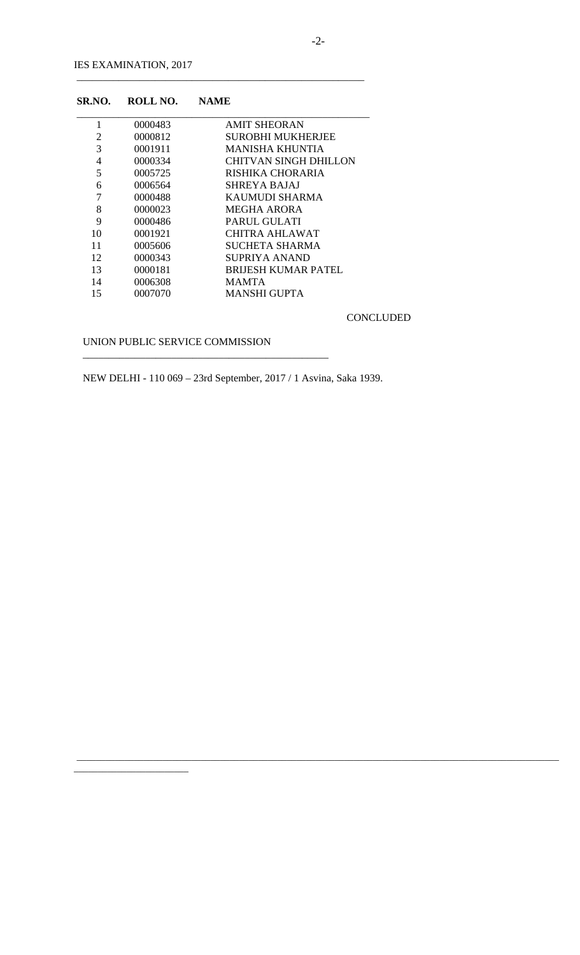| SR.NO. | ROLL NO. | <b>NAME</b>               |
|--------|----------|---------------------------|
| 1      | 0000483  | <b>AMIT SHEORAN</b>       |
| 2      | 0000812  | <b>SUROBHI MUKHERJEE</b>  |
| 3      | 0001911  | MANISHA KHUNTIA           |
| 4      | 0000334  | CHITVAN SINGH DHILLON     |
| 5      | 0005725  | RISHIKA CHORARIA          |
| 6      | 0006564  | <b>SHREYA BAJAJ</b>       |
| 7      | 0000488  | KAUMUDI SHARMA            |
| 8      | 0000023  | <b>MEGHA ARORA</b>        |
| 9      | 0000486  | PARUL GULATI              |
| 10     | 0001921  | CHITRA AHLAWAT            |
| 11     | 0005606  | SUCHETA SHARMA            |
| 12     | 0000343  | SUPRIYA ANAND             |
| 13     | 0000181  | <b>BRUESH KUMAR PATEL</b> |
| 14     | 0006308  | <b>MAMTA</b>              |
| 15     | 0007070  | MANSHI GUPTA              |

\_\_\_\_\_\_\_\_\_\_\_\_\_\_\_\_\_\_\_\_\_\_\_\_\_\_\_\_\_\_\_\_\_\_\_\_\_\_\_\_\_\_\_\_\_\_\_\_\_\_\_\_\_\_\_

CONCLUDED

UNION PUBLIC SERVICE COMMISSION

 $\overline{\phantom{a}}$  , and the contract of the contract of the contract of the contract of the contract of the contract of the contract of the contract of the contract of the contract of the contract of the contract of the contrac

\_\_\_\_\_\_\_\_\_\_\_\_\_\_\_\_\_\_\_\_\_\_\_\_

NEW DELHI - 110 069 – 23rd September, 2017 / 1 Asvina, Saka 1939.

\_\_\_\_\_\_\_\_\_\_\_\_\_\_\_\_\_\_\_\_\_\_\_\_\_\_\_\_\_\_\_\_\_\_\_\_\_\_\_\_\_\_\_\_\_\_\_\_\_\_\_\_\_\_\_\_\_\_\_\_\_\_\_\_\_\_\_\_\_\_\_\_\_\_\_\_\_\_\_\_\_\_\_\_\_\_\_\_\_\_\_\_\_\_\_\_\_\_\_\_\_